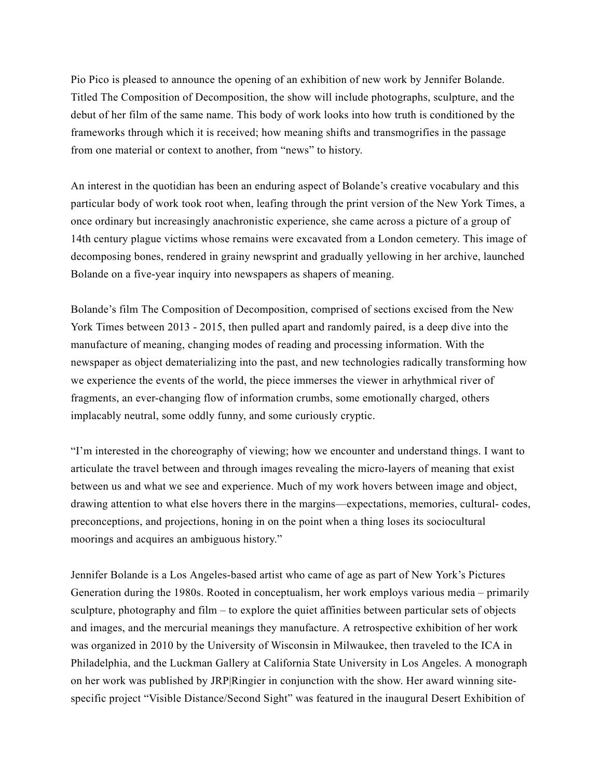Pio Pico is pleased to announce the opening of an exhibition of new work by Jennifer Bolande. Titled The Composition of Decomposition, the show will include photographs, sculpture, and the debut of her film of the same name. This body of work looks into how truth is conditioned by the frameworks through which it is received; how meaning shifts and transmogrifies in the passage from one material or context to another, from "news" to history.

An interest in the quotidian has been an enduring aspect of Bolande's creative vocabulary and this particular body of work took root when, leafing through the print version of the New York Times, a once ordinary but increasingly anachronistic experience, she came across a picture of a group of 14th century plague victims whose remains were excavated from a London cemetery. This image of decomposing bones, rendered in grainy newsprint and gradually yellowing in her archive, launched Bolande on a five-year inquiry into newspapers as shapers of meaning.

Bolande's film The Composition of Decomposition, comprised of sections excised from the New York Times between 2013 - 2015, then pulled apart and randomly paired, is a deep dive into the manufacture of meaning, changing modes of reading and processing information. With the newspaper as object dematerializing into the past, and new technologies radically transforming how we experience the events of the world, the piece immerses the viewer in arhythmical river of fragments, an ever-changing flow of information crumbs, some emotionally charged, others implacably neutral, some oddly funny, and some curiously cryptic.

"I'm interested in the choreography of viewing; how we encounter and understand things. I want to articulate the travel between and through images revealing the micro-layers of meaning that exist between us and what we see and experience. Much of my work hovers between image and object, drawing attention to what else hovers there in the margins—expectations, memories, cultural- codes, preconceptions, and projections, honing in on the point when a thing loses its sociocultural moorings and acquires an ambiguous history."

Jennifer Bolande is a Los Angeles-based artist who came of age as part of New York's Pictures Generation during the 1980s. Rooted in conceptualism, her work employs various media – primarily sculpture, photography and film – to explore the quiet affinities between particular sets of objects and images, and the mercurial meanings they manufacture. A retrospective exhibition of her work was organized in 2010 by the University of Wisconsin in Milwaukee, then traveled to the ICA in Philadelphia, and the Luckman Gallery at California State University in Los Angeles. A monograph on her work was published by JRP|Ringier in conjunction with the show. Her award winning sitespecific project "Visible Distance/Second Sight" was featured in the inaugural Desert Exhibition of